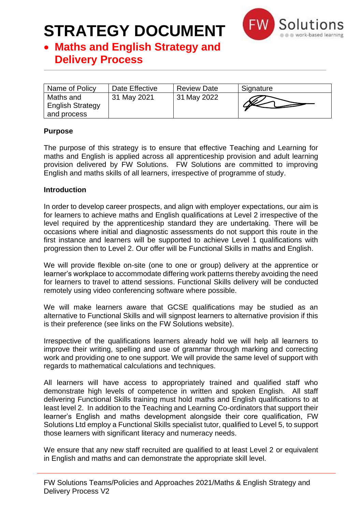

### • **Maths and English Strategy and Delivery Process**

| Name of Policy                                      | Date Effective | <b>Review Date</b> | Signature |
|-----------------------------------------------------|----------------|--------------------|-----------|
| Maths and<br><b>English Strategy</b><br>and process | 31 May 2021    | 31 May 2022        |           |

#### **Purpose**

The purpose of this strategy is to ensure that effective Teaching and Learning for maths and English is applied across all apprenticeship provision and adult learning provision delivered by FW Solutions. FW Solutions are committed to improving English and maths skills of all learners, irrespective of programme of study.

#### **Introduction**

In order to develop career prospects, and align with employer expectations, our aim is for learners to achieve maths and English qualifications at Level 2 irrespective of the level required by the apprenticeship standard they are undertaking. There will be occasions where initial and diagnostic assessments do not support this route in the first instance and learners will be supported to achieve Level 1 qualifications with progression then to Level 2. Our offer will be Functional Skills in maths and English.

We will provide flexible on-site (one to one or group) delivery at the apprentice or learner's workplace to accommodate differing work patterns thereby avoiding the need for learners to travel to attend sessions. Functional Skills delivery will be conducted remotely using video conferencing software where possible.

We will make learners aware that GCSE qualifications may be studied as an alternative to Functional Skills and will signpost learners to alternative provision if this is their preference (see links on the FW Solutions website).

Irrespective of the qualifications learners already hold we will help all learners to improve their writing, spelling and use of grammar through marking and correcting work and providing one to one support. We will provide the same level of support with regards to mathematical calculations and techniques.

All learners will have access to appropriately trained and qualified staff who demonstrate high levels of competence in written and spoken English. All staff delivering Functional Skills training must hold maths and English qualifications to at least level 2. In addition to the Teaching and Learning Co-ordinators that support their learner's English and maths development alongside their core qualification, FW Solutions Ltd employ a Functional Skills specialist tutor, qualified to Level 5, to support those learners with significant literacy and numeracy needs.

We ensure that any new staff recruited are qualified to at least Level 2 or equivalent in English and maths and can demonstrate the appropriate skill level.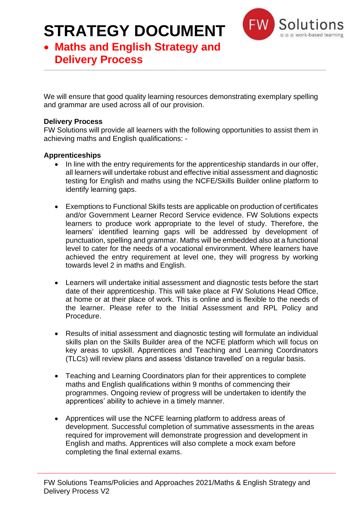

## • **Maths and English Strategy and Delivery Process**

We will ensure that good quality learning resources demonstrating exemplary spelling and grammar are used across all of our provision.

#### **Delivery Process**

FW Solutions will provide all learners with the following opportunities to assist them in achieving maths and English qualifications: -

#### **Apprenticeships**

- In line with the entry requirements for the apprenticeship standards in our offer, all learners will undertake robust and effective initial assessment and diagnostic testing for English and maths using the NCFE/Skills Builder online platform to identify learning gaps.
- Exemptions to Functional Skills tests are applicable on production of certificates and/or Government Learner Record Service evidence. FW Solutions expects learners to produce work appropriate to the level of study. Therefore, the learners' identified learning gaps will be addressed by development of punctuation, spelling and grammar. Maths will be embedded also at a functional level to cater for the needs of a vocational environment. Where learners have achieved the entry requirement at level one, they will progress by working towards level 2 in maths and English.
- Learners will undertake initial assessment and diagnostic tests before the start date of their apprenticeship. This will take place at FW Solutions Head Office, at home or at their place of work. This is online and is flexible to the needs of the learner. Please refer to the Initial Assessment and RPL Policy and Procedure.
- Results of initial assessment and diagnostic testing will formulate an individual skills plan on the Skills Builder area of the NCFE platform which will focus on key areas to upskill. Apprentices and Teaching and Learning Coordinators (TLCs) will review plans and assess 'distance travelled' on a regular basis.
- Teaching and Learning Coordinators plan for their apprentices to complete maths and English qualifications within 9 months of commencing their programmes. Ongoing review of progress will be undertaken to identify the apprentices' ability to achieve in a timely manner.
- Apprentices will use the NCFE learning platform to address areas of development. Successful completion of summative assessments in the areas required for improvement will demonstrate progression and development in English and maths. Apprentices will also complete a mock exam before completing the final external exams.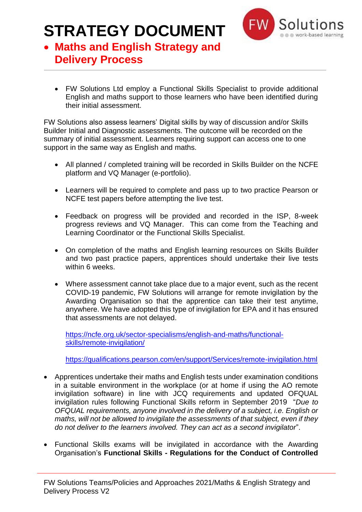

## • **Maths and English Strategy and Delivery Process**

• FW Solutions Ltd employ a Functional Skills Specialist to provide additional English and maths support to those learners who have been identified during their initial assessment.

FW Solutions also assess learners' Digital skills by way of discussion and/or Skills Builder Initial and Diagnostic assessments. The outcome will be recorded on the summary of initial assessment. Learners requiring support can access one to one support in the same way as English and maths.

- All planned / completed training will be recorded in Skills Builder on the NCFE platform and VQ Manager (e-portfolio).
- Learners will be required to complete and pass up to two practice Pearson or NCFE test papers before attempting the live test.
- Feedback on progress will be provided and recorded in the ISP, 8-week progress reviews and VQ Manager. This can come from the Teaching and Learning Coordinator or the Functional Skills Specialist.
- On completion of the maths and English learning resources on Skills Builder and two past practice papers, apprentices should undertake their live tests within 6 weeks.
- Where assessment cannot take place due to a major event, such as the recent COVID-19 pandemic, FW Solutions will arrange for remote invigilation by the Awarding Organisation so that the apprentice can take their test anytime, anywhere. We have adopted this type of invigilation for EPA and it has ensured that assessments are not delayed.

[https://ncfe.org.uk/sector-specialisms/english-and-maths/functional](https://ncfe.org.uk/sector-specialisms/english-and-maths/functional-skills/remote-invigilation/)[skills/remote-invigilation/](https://ncfe.org.uk/sector-specialisms/english-and-maths/functional-skills/remote-invigilation/)

<https://qualifications.pearson.com/en/support/Services/remote-invigilation.html>

- Apprentices undertake their maths and English tests under examination conditions in a suitable environment in the workplace (or at home if using the AO remote invigilation software) in line with JCQ requirements and updated OFQUAL invigilation rules following Functional Skills reform in September 2019 "*Due to OFQUAL requirements, anyone involved in the delivery of a subject, i.e. English or maths, will not be allowed to invigilate the assessments of that subject, even if they do not deliver to the learners involved. They can act as a second invigilator*".
- Functional Skills exams will be invigilated in accordance with the Awarding Organisation's **Functional Skills - Regulations for the Conduct of Controlled**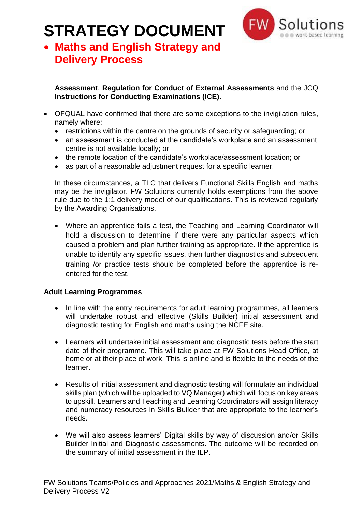

### • **Maths and English Strategy and Delivery Process**

#### **Assessment**, **Regulation for Conduct of External Assessments** and the JCQ **Instructions for Conducting Examinations (ICE).**

- OFQUAL have confirmed that there are some exceptions to the invigilation rules, namely where:
	- restrictions within the centre on the grounds of security or safeguarding; or
	- an assessment is conducted at the candidate's workplace and an assessment centre is not available locally; or
	- the remote location of the candidate's workplace/assessment location; or
	- as part of a reasonable adjustment request for a specific learner.

In these circumstances, a TLC that delivers Functional Skills English and maths may be the invigilator. FW Solutions currently holds exemptions from the above rule due to the 1:1 delivery model of our qualifications. This is reviewed regularly by the Awarding Organisations.

• Where an apprentice fails a test, the Teaching and Learning Coordinator will hold a discussion to determine if there were any particular aspects which caused a problem and plan further training as appropriate. If the apprentice is unable to identify any specific issues, then further diagnostics and subsequent training /or practice tests should be completed before the apprentice is reentered for the test.

### **Adult Learning Programmes**

- In line with the entry requirements for adult learning programmes, all learners will undertake robust and effective (Skills Builder) initial assessment and diagnostic testing for English and maths using the NCFE site.
- Learners will undertake initial assessment and diagnostic tests before the start date of their programme. This will take place at FW Solutions Head Office, at home or at their place of work. This is online and is flexible to the needs of the learner.
- Results of initial assessment and diagnostic testing will formulate an individual skills plan (which will be uploaded to VQ Manager) which will focus on key areas to upskill. Learners and Teaching and Learning Coordinators will assign literacy and numeracy resources in Skills Builder that are appropriate to the learner's needs.
- We will also assess learners' Digital skills by way of discussion and/or Skills Builder Initial and Diagnostic assessments. The outcome will be recorded on the summary of initial assessment in the ILP.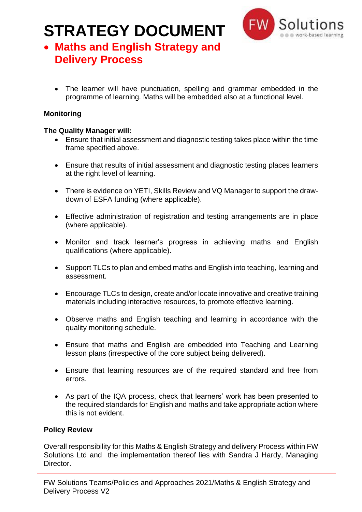

## • **Maths and English Strategy and Delivery Process**

• The learner will have punctuation, spelling and grammar embedded in the programme of learning. Maths will be embedded also at a functional level.

### **Monitoring**

### **The Quality Manager will:**

- Ensure that initial assessment and diagnostic testing takes place within the time frame specified above.
- Ensure that results of initial assessment and diagnostic testing places learners at the right level of learning.
- There is evidence on YETI, Skills Review and VQ Manager to support the drawdown of ESFA funding (where applicable).
- Effective administration of registration and testing arrangements are in place (where applicable).
- Monitor and track learner's progress in achieving maths and English qualifications (where applicable).
- Support TLCs to plan and embed maths and English into teaching, learning and assessment.
- Encourage TLCs to design, create and/or locate innovative and creative training materials including interactive resources, to promote effective learning.
- Observe maths and English teaching and learning in accordance with the quality monitoring schedule.
- Ensure that maths and English are embedded into Teaching and Learning lesson plans (irrespective of the core subject being delivered).
- Ensure that learning resources are of the required standard and free from errors.
- As part of the IQA process, check that learners' work has been presented to the required standards for English and maths and take appropriate action where this is not evident.

### **Policy Review**

Overall responsibility for this Maths & English Strategy and delivery Process within FW Solutions Ltd and the implementation thereof lies with Sandra J Hardy, Managing Director.